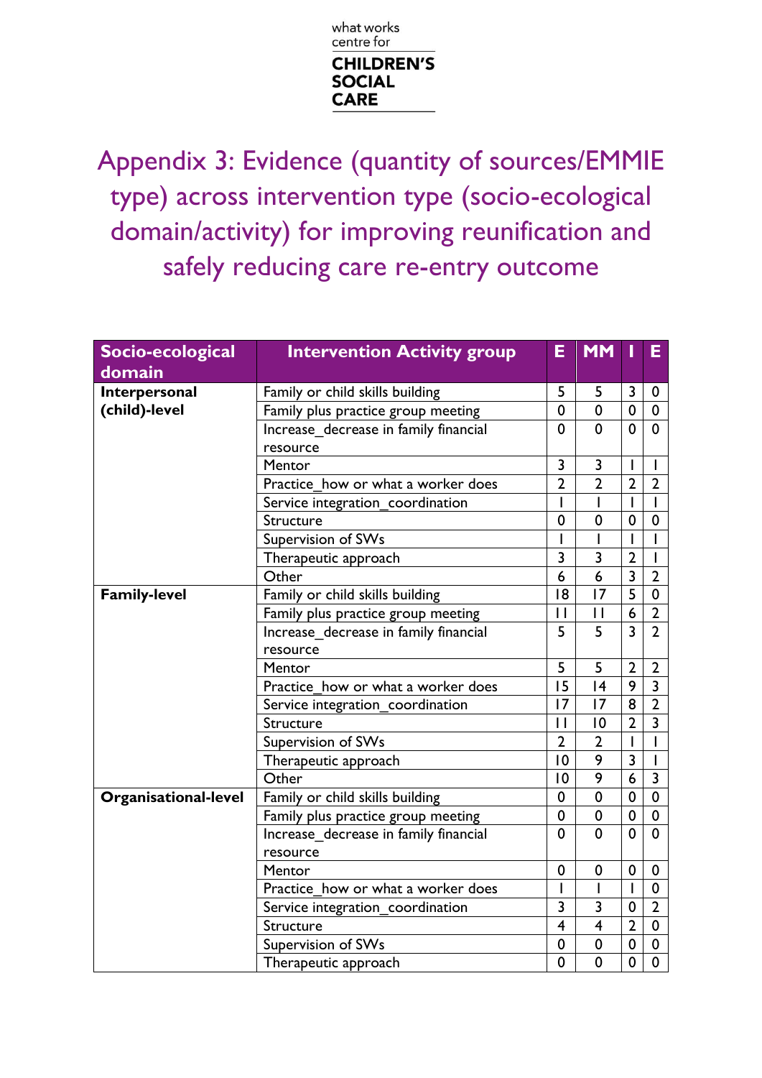

Appendix 3: Evidence (quantity of sources/EMMIE type) across intervention type (socio-ecological domain/activity) for improving reunification and safely reducing care re-entry outcome

| Socio-ecological            | <b>Intervention Activity group</b>    | E                       | <b>MM</b>               | T              | Е                       |
|-----------------------------|---------------------------------------|-------------------------|-------------------------|----------------|-------------------------|
| domain                      |                                       |                         |                         |                |                         |
| Interpersonal               | Family or child skills building       | 5                       | 5                       | 3              | $\mathbf 0$             |
| (child)-level               | Family plus practice group meeting    | $\mathbf 0$             | $\mathbf 0$             | $\mathbf 0$    | $\mathbf 0$             |
|                             | Increase_decrease in family financial | $\mathbf 0$             | $\mathbf 0$             | $\mathbf 0$    | $\mathbf 0$             |
|                             | resource                              |                         |                         |                |                         |
|                             | Mentor                                | 3                       | 3                       | Ш              |                         |
|                             | Practice how or what a worker does    | $\overline{2}$          | $\overline{2}$          | $\overline{2}$ | $\overline{2}$          |
|                             | Service integration_coordination      | I                       |                         |                | $\mathbf{I}$            |
|                             | Structure                             | $\mathbf 0$             | $\mathbf 0$             | 0              | $\mathbf 0$             |
|                             | Supervision of SWs                    |                         |                         |                |                         |
|                             | Therapeutic approach                  | 3                       | 3                       | $\overline{2}$ |                         |
|                             | Other                                 | 6                       | 6                       | $\overline{3}$ | $\overline{2}$          |
| <b>Family-level</b>         | Family or child skills building       | 18                      | 17                      | $\overline{5}$ | $\mathbf 0$             |
|                             | Family plus practice group meeting    | $\mathsf{I}$            | $\mathbf{1}$            | 6              | $\overline{2}$          |
|                             | Increase decrease in family financial | 5                       | 5                       | $\overline{3}$ | $\overline{2}$          |
|                             | resource                              |                         |                         |                |                         |
|                             | Mentor                                | 5                       | 5                       | $\overline{2}$ | $\overline{2}$          |
|                             | Practice how or what a worker does    | 15                      | 4                       | 9              | $\overline{\mathbf{3}}$ |
|                             | Service integration coordination      | 17                      | 17                      | 8              | $\overline{2}$          |
|                             | Structure                             | $\mathsf{I}$            | 10                      | $\overline{2}$ | 3                       |
|                             | Supervision of SWs                    | $\overline{2}$          | $\overline{2}$          | $\mathbf{I}$   |                         |
|                             | Therapeutic approach                  | 10                      | 9                       | $\overline{3}$ |                         |
|                             | Other                                 | $\overline{0}$          | 9                       | 6              | $\overline{3}$          |
| <b>Organisational-level</b> | Family or child skills building       | $\pmb{0}$               | $\mathbf 0$             | 0              | $\pmb{0}$               |
|                             | Family plus practice group meeting    | 0                       | 0                       | $\mathbf 0$    | $\mathbf 0$             |
|                             | Increase decrease in family financial | 0                       | 0                       | 0              | $\mathbf 0$             |
|                             | resource                              |                         |                         |                |                         |
|                             | Mentor                                | 0                       | $\mathbf 0$             | $\mathbf 0$    | $\boldsymbol{0}$        |
|                             | Practice how or what a worker does    |                         |                         |                | $\mathbf 0$             |
|                             | Service integration_coordination      | 3                       | 3                       | 0              | $\overline{2}$          |
|                             | Structure                             | $\overline{\mathbf{4}}$ | $\overline{\mathbf{4}}$ | $\overline{2}$ | $\mathbf 0$             |
|                             | Supervision of SWs                    | 0                       | 0                       | 0              | 0                       |
|                             | Therapeutic approach                  | $\mathbf 0$             | $\mathbf 0$             | $\mathbf 0$    | $\mathbf 0$             |